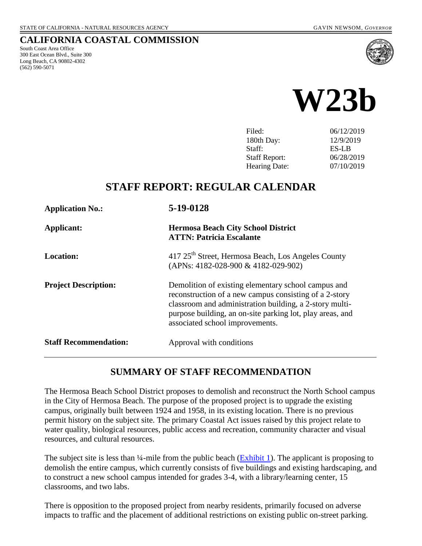#### **CALIFORNIA COASTAL COMMISSION**

South Coast Area Office 300 East Ocean Blvd., Suite 300 Long Beach, CA 90802-4302 (562) 590-5071





| Filed:               | 06/12/2019 |
|----------------------|------------|
| 180th Day:           | 12/9/2019  |
| Staff:               | ES-LB      |
| <b>Staff Report:</b> | 06/28/2019 |
| <b>Hearing Date:</b> | 07/10/2019 |
|                      |            |

# **STAFF REPORT: REGULAR CALENDAR**

| <b>Application No.:</b>      | 5-19-0128                                                                                                                                                                                                                                                                |
|------------------------------|--------------------------------------------------------------------------------------------------------------------------------------------------------------------------------------------------------------------------------------------------------------------------|
| Applicant:                   | <b>Hermosa Beach City School District</b><br><b>ATTN: Patricia Escalante</b>                                                                                                                                                                                             |
| Location:                    | 417 25 <sup>th</sup> Street, Hermosa Beach, Los Angeles County<br>(APNs: 4182-028-900 & 4182-029-902)                                                                                                                                                                    |
| <b>Project Description:</b>  | Demolition of existing elementary school campus and<br>reconstruction of a new campus consisting of a 2-story<br>classroom and administration building, a 2-story multi-<br>purpose building, an on-site parking lot, play areas, and<br>associated school improvements. |
| <b>Staff Recommendation:</b> | Approval with conditions                                                                                                                                                                                                                                                 |

#### **SUMMARY OF STAFF RECOMMENDATION**

The Hermosa Beach School District proposes to demolish and reconstruct the North School campus in the City of Hermosa Beach. The purpose of the proposed project is to upgrade the existing campus, originally built between 1924 and 1958, in its existing location. There is no previous permit history on the subject site. The primary Coastal Act issues raised by this project relate to water quality, biological resources, public access and recreation, community character and visual resources, and cultural resources.

The subject site is less than  $\frac{1}{4}$ -mile from the public beach ( $\frac{Exhibit 1}{2}$ ). The applicant is proposing to demolish the entire campus, which currently consists of five buildings and existing hardscaping, and to construct a new school campus intended for grades 3-4, with a library/learning center, 15 classrooms, and two labs.

There is opposition to the proposed project from nearby residents, primarily focused on adverse impacts to traffic and the placement of additional restrictions on existing public on-street parking.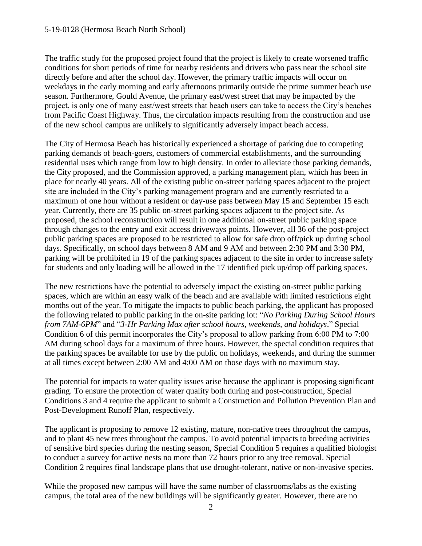The traffic study for the proposed project found that the project is likely to create worsened traffic conditions for short periods of time for nearby residents and drivers who pass near the school site directly before and after the school day. However, the primary traffic impacts will occur on weekdays in the early morning and early afternoons primarily outside the prime summer beach use season. Furthermore, Gould Avenue, the primary east/west street that may be impacted by the project, is only one of many east/west streets that beach users can take to access the City's beaches from Pacific Coast Highway. Thus, the circulation impacts resulting from the construction and use of the new school campus are unlikely to significantly adversely impact beach access.

The City of Hermosa Beach has historically experienced a shortage of parking due to competing parking demands of beach-goers, customers of commercial establishments, and the surrounding residential uses which range from low to high density. In order to alleviate those parking demands, the City proposed, and the Commission approved, a parking management plan, which has been in place for nearly 40 years. All of the existing public on-street parking spaces adjacent to the project site are included in the City's parking management program and are currently restricted to a maximum of one hour without a resident or day-use pass between May 15 and September 15 each year. Currently, there are 35 public on-street parking spaces adjacent to the project site. As proposed, the school reconstruction will result in one additional on-street public parking space through changes to the entry and exit access driveways points. However, all 36 of the post-project public parking spaces are proposed to be restricted to allow for safe drop off/pick up during school days. Specifically, on school days between 8 AM and 9 AM and between 2:30 PM and 3:30 PM, parking will be prohibited in 19 of the parking spaces adjacent to the site in order to increase safety for students and only loading will be allowed in the 17 identified pick up/drop off parking spaces.

The new restrictions have the potential to adversely impact the existing on-street public parking spaces, which are within an easy walk of the beach and are available with limited restrictions eight months out of the year. To mitigate the impacts to public beach parking, the applicant has proposed the following related to public parking in the on-site parking lot: "*No Parking During School Hours from 7AM-6PM*" and "*3-Hr Parking Max after school hours, weekends, and holidays*." Special Condition 6 of this permit incorporates the City's proposal to allow parking from 6:00 PM to 7:00 AM during school days for a maximum of three hours. However, the special condition requires that the parking spaces be available for use by the public on holidays, weekends, and during the summer at all times except between 2:00 AM and 4:00 AM on those days with no maximum stay.

The potential for impacts to water quality issues arise because the applicant is proposing significant grading. To ensure the protection of water quality both during and post-construction, Special Conditions 3 and 4 require the applicant to submit a Construction and Pollution Prevention Plan and Post-Development Runoff Plan, respectively.

The applicant is proposing to remove 12 existing, mature, non-native trees throughout the campus, and to plant 45 new trees throughout the campus. To avoid potential impacts to breeding activities of sensitive bird species during the nesting season, Special Condition 5 requires a qualified biologist to conduct a survey for active nests no more than 72 hours prior to any tree removal. Special Condition 2 requires final landscape plans that use drought-tolerant, native or non-invasive species.

While the proposed new campus will have the same number of classrooms/labs as the existing campus, the total area of the new buildings will be significantly greater. However, there are no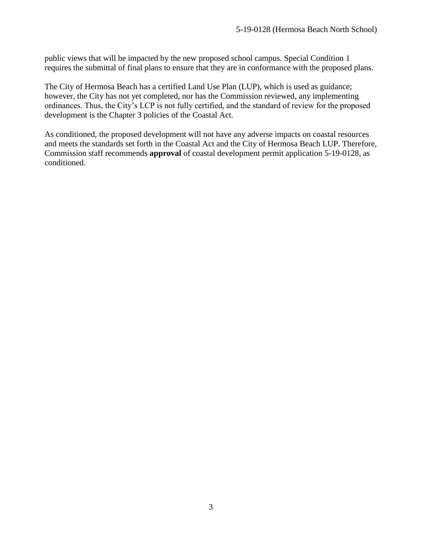public views that will be impacted by the new proposed school campus. Special Condition 1 requires the submittal of final plans to ensure that they are in conformance with the proposed plans.

The City of Hermosa Beach has a certified Land Use Plan (LUP), which is used as guidance; however, the City has not yet completed, nor has the Commission reviewed, any implementing ordinances. Thus, the City's LCP is not fully certified, and the standard of review for the proposed development is the Chapter 3 policies of the Coastal Act.

As conditioned, the proposed development will not have any adverse impacts on coastal resources and meets the standards set forth in the Coastal Act and the City of Hermosa Beach LUP. Therefore, Commission staff recommends **approval** of coastal development permit application 5-19-0128, as conditioned.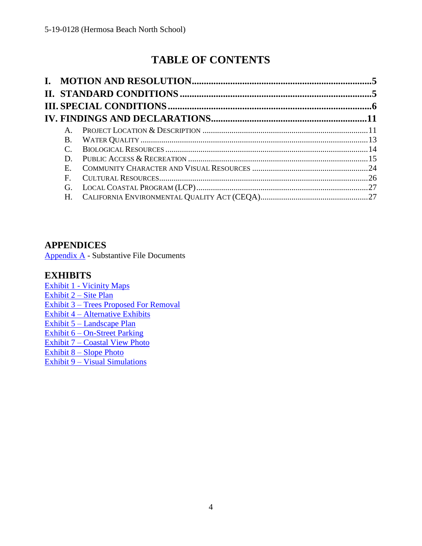# **TABLE OF CONTENTS**

| $\mathsf{A}$ . |  |
|----------------|--|
| B.             |  |
|                |  |
| D              |  |
| $E_{\rm c}$    |  |
| F              |  |
| G.             |  |
| $H_{\cdot}$    |  |

### **APPENDICES**

[Appendix A](#page-26-2) - Substantive File Documents

### **EXHIBITS**

Exhibit 1 - [Vicinity Maps](https://documents.coastal.ca.gov/reports/2019/7/w23b/w23b-7-2019-exhibits.pdf) [Exhibit 2 –](https://documents.coastal.ca.gov/reports/2019/7/w23b/w23b-7-2019-exhibits.pdf) Site Plan Exhibit 3 – [Trees Proposed For Removal](https://documents.coastal.ca.gov/reports/2019/7/w23b/w23b-7-2019-exhibits.pdf) Exhibit 4 – [Alternative Exhibits](https://documents.coastal.ca.gov/reports/2019/7/w23b/w23b-7-2019-exhibits.pdf) Exhibit 5 – [Landscape Plan](https://documents.coastal.ca.gov/reports/2019/7/w23b/w23b-7-2019-exhibits.pdf) Exhibit 6 – [On-Street Parking](https://documents.coastal.ca.gov/reports/2019/7/w23b/w23b-7-2019-exhibits.pdf) Exhibit 7 – [Coastal View Photo](https://documents.coastal.ca.gov/reports/2019/7/w23b/w23b-7-2019-exhibits.pdf) Exhibit 8 – [Slope Photo](https://documents.coastal.ca.gov/reports/2019/7/w23b/w23b-7-2019-exhibits.pdf) Exhibit 9 – [Visual Simulations](https://documents.coastal.ca.gov/reports/2019/7/w23b/w23b-7-2019-exhibits.pdf)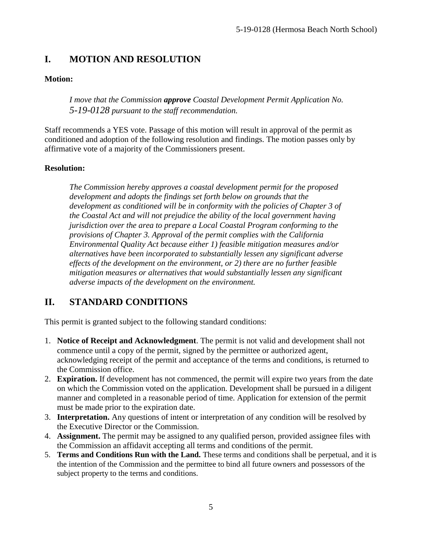# <span id="page-4-0"></span>**I. MOTION AND RESOLUTION**

### **Motion:**

*I move that the Commission approve Coastal Development Permit Application No. 5-19-0128 pursuant to the staff recommendation.*

Staff recommends a YES vote. Passage of this motion will result in approval of the permit as conditioned and adoption of the following resolution and findings. The motion passes only by affirmative vote of a majority of the Commissioners present.

#### **Resolution:**

*The Commission hereby approves a coastal development permit for the proposed development and adopts the findings set forth below on grounds that the development as conditioned will be in conformity with the policies of Chapter 3 of the Coastal Act and will not prejudice the ability of the local government having jurisdiction over the area to prepare a Local Coastal Program conforming to the provisions of Chapter 3. Approval of the permit complies with the California Environmental Quality Act because either 1) feasible mitigation measures and/or alternatives have been incorporated to substantially lessen any significant adverse effects of the development on the environment, or 2) there are no further feasible mitigation measures or alternatives that would substantially lessen any significant adverse impacts of the development on the environment.*

# <span id="page-4-1"></span>**II. STANDARD CONDITIONS**

This permit is granted subject to the following standard conditions:

- 1. **Notice of Receipt and Acknowledgment**. The permit is not valid and development shall not commence until a copy of the permit, signed by the permittee or authorized agent, acknowledging receipt of the permit and acceptance of the terms and conditions, is returned to the Commission office.
- 2. **Expiration.** If development has not commenced, the permit will expire two years from the date on which the Commission voted on the application. Development shall be pursued in a diligent manner and completed in a reasonable period of time. Application for extension of the permit must be made prior to the expiration date.
- 3. **Interpretation.** Any questions of intent or interpretation of any condition will be resolved by the Executive Director or the Commission.
- 4. **Assignment.** The permit may be assigned to any qualified person, provided assignee files with the Commission an affidavit accepting all terms and conditions of the permit.
- 5. **Terms and Conditions Run with the Land.** These terms and conditions shall be perpetual, and it is the intention of the Commission and the permittee to bind all future owners and possessors of the subject property to the terms and conditions.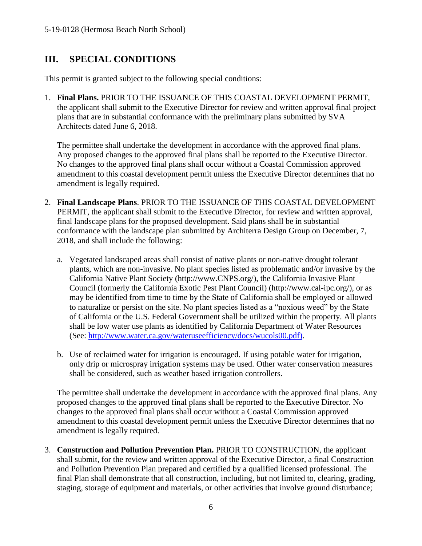# <span id="page-5-0"></span>**III. SPECIAL CONDITIONS**

This permit is granted subject to the following special conditions:

1. **Final Plans.** PRIOR TO THE ISSUANCE OF THIS COASTAL DEVELOPMENT PERMIT, the applicant shall submit to the Executive Director for review and written approval final project plans that are in substantial conformance with the preliminary plans submitted by SVA Architects dated June 6, 2018.

The permittee shall undertake the development in accordance with the approved final plans. Any proposed changes to the approved final plans shall be reported to the Executive Director. No changes to the approved final plans shall occur without a Coastal Commission approved amendment to this coastal development permit unless the Executive Director determines that no amendment is legally required.

- 2. **Final Landscape Plans**. PRIOR TO THE ISSUANCE OF THIS COASTAL DEVELOPMENT PERMIT, the applicant shall submit to the Executive Director, for review and written approval, final landscape plans for the proposed development. Said plans shall be in substantial conformance with the landscape plan submitted by Architerra Design Group on December, 7, 2018, and shall include the following:
	- a. Vegetated landscaped areas shall consist of native plants or non-native drought tolerant plants, which are non-invasive. No plant species listed as problematic and/or invasive by the California Native Plant Society (http://www.CNPS.org/), the California Invasive Plant Council (formerly the California Exotic Pest Plant Council) (http://www.cal-ipc.org/), or as may be identified from time to time by the State of California shall be employed or allowed to naturalize or persist on the site. No plant species listed as a "noxious weed" by the State of California or the U.S. Federal Government shall be utilized within the property. All plants shall be low water use plants as identified by California Department of Water Resources (See: [http://www.water.ca.gov/wateruseefficiency/docs/wucols00.pdf\)](http://www.water.ca.gov/wateruseefficiency/docs/wucols00.pdf).
	- b. Use of reclaimed water for irrigation is encouraged. If using potable water for irrigation, only drip or microspray irrigation systems may be used. Other water conservation measures shall be considered, such as weather based irrigation controllers.

The permittee shall undertake the development in accordance with the approved final plans. Any proposed changes to the approved final plans shall be reported to the Executive Director. No changes to the approved final plans shall occur without a Coastal Commission approved amendment to this coastal development permit unless the Executive Director determines that no amendment is legally required.

3. **Construction and Pollution Prevention Plan.** PRIOR TO CONSTRUCTION, the applicant shall submit, for the review and written approval of the Executive Director, a final Construction and Pollution Prevention Plan prepared and certified by a qualified licensed professional. The final Plan shall demonstrate that all construction, including, but not limited to, clearing, grading, staging, storage of equipment and materials, or other activities that involve ground disturbance;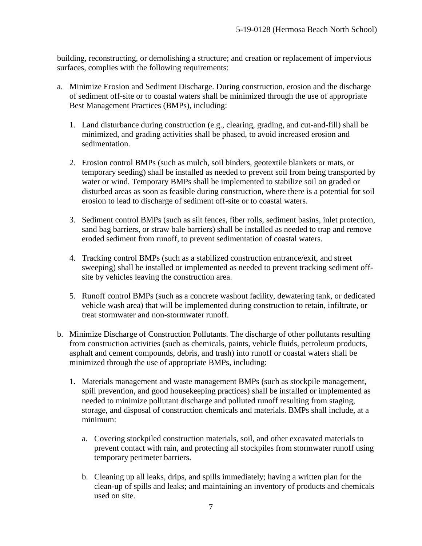building, reconstructing, or demolishing a structure; and creation or replacement of impervious surfaces, complies with the following requirements:

- a. Minimize Erosion and Sediment Discharge. During construction, erosion and the discharge of sediment off-site or to coastal waters shall be minimized through the use of appropriate Best Management Practices (BMPs), including:
	- 1. Land disturbance during construction (e.g., clearing, grading, and cut-and-fill) shall be minimized, and grading activities shall be phased, to avoid increased erosion and sedimentation.
	- 2. Erosion control BMPs (such as mulch, soil binders, geotextile blankets or mats, or temporary seeding) shall be installed as needed to prevent soil from being transported by water or wind. Temporary BMPs shall be implemented to stabilize soil on graded or disturbed areas as soon as feasible during construction, where there is a potential for soil erosion to lead to discharge of sediment off-site or to coastal waters.
	- 3. Sediment control BMPs (such as silt fences, fiber rolls, sediment basins, inlet protection, sand bag barriers, or straw bale barriers) shall be installed as needed to trap and remove eroded sediment from runoff, to prevent sedimentation of coastal waters.
	- 4. Tracking control BMPs (such as a stabilized construction entrance/exit, and street sweeping) shall be installed or implemented as needed to prevent tracking sediment offsite by vehicles leaving the construction area.
	- 5. Runoff control BMPs (such as a concrete washout facility, dewatering tank, or dedicated vehicle wash area) that will be implemented during construction to retain, infiltrate, or treat stormwater and non-stormwater runoff.
- b. Minimize Discharge of Construction Pollutants. The discharge of other pollutants resulting from construction activities (such as chemicals, paints, vehicle fluids, petroleum products, asphalt and cement compounds, debris, and trash) into runoff or coastal waters shall be minimized through the use of appropriate BMPs, including:
	- 1. Materials management and waste management BMPs (such as stockpile management, spill prevention, and good housekeeping practices) shall be installed or implemented as needed to minimize pollutant discharge and polluted runoff resulting from staging, storage, and disposal of construction chemicals and materials. BMPs shall include, at a minimum:
		- a. Covering stockpiled construction materials, soil, and other excavated materials to prevent contact with rain, and protecting all stockpiles from stormwater runoff using temporary perimeter barriers.
		- b. Cleaning up all leaks, drips, and spills immediately; having a written plan for the clean-up of spills and leaks; and maintaining an inventory of products and chemicals used on site.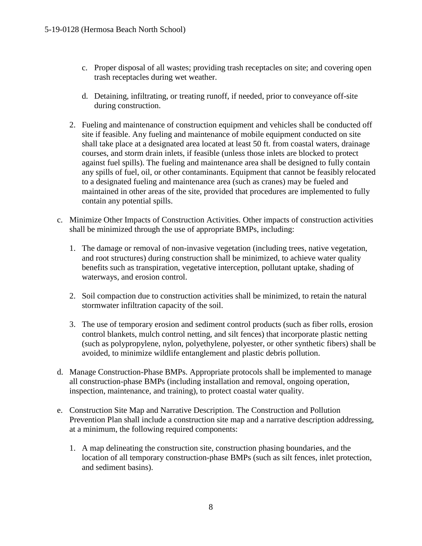- c. Proper disposal of all wastes; providing trash receptacles on site; and covering open trash receptacles during wet weather.
- d. Detaining, infiltrating, or treating runoff, if needed, prior to conveyance off-site during construction.
- 2. Fueling and maintenance of construction equipment and vehicles shall be conducted off site if feasible. Any fueling and maintenance of mobile equipment conducted on site shall take place at a designated area located at least 50 ft. from coastal waters, drainage courses, and storm drain inlets, if feasible (unless those inlets are blocked to protect against fuel spills). The fueling and maintenance area shall be designed to fully contain any spills of fuel, oil, or other contaminants. Equipment that cannot be feasibly relocated to a designated fueling and maintenance area (such as cranes) may be fueled and maintained in other areas of the site, provided that procedures are implemented to fully contain any potential spills.
- c. Minimize Other Impacts of Construction Activities. Other impacts of construction activities shall be minimized through the use of appropriate BMPs, including:
	- 1. The damage or removal of non-invasive vegetation (including trees, native vegetation, and root structures) during construction shall be minimized, to achieve water quality benefits such as transpiration, vegetative interception, pollutant uptake, shading of waterways, and erosion control.
	- 2. Soil compaction due to construction activities shall be minimized, to retain the natural stormwater infiltration capacity of the soil.
	- 3. The use of temporary erosion and sediment control products (such as fiber rolls, erosion control blankets, mulch control netting, and silt fences) that incorporate plastic netting (such as polypropylene, nylon, polyethylene, polyester, or other synthetic fibers) shall be avoided, to minimize wildlife entanglement and plastic debris pollution.
- d. Manage Construction-Phase BMPs. Appropriate protocols shall be implemented to manage all construction-phase BMPs (including installation and removal, ongoing operation, inspection, maintenance, and training), to protect coastal water quality.
- e. Construction Site Map and Narrative Description. The Construction and Pollution Prevention Plan shall include a construction site map and a narrative description addressing, at a minimum, the following required components:
	- 1. A map delineating the construction site, construction phasing boundaries, and the location of all temporary construction-phase BMPs (such as silt fences, inlet protection, and sediment basins).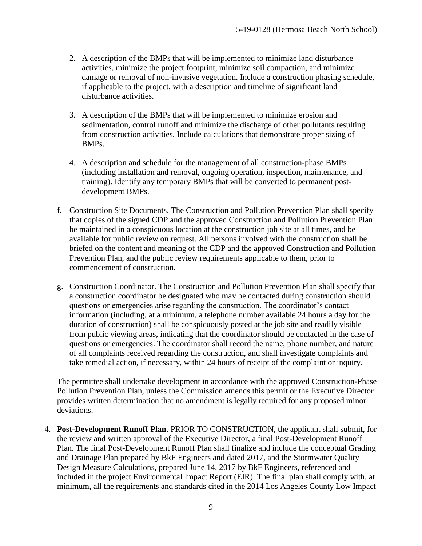- 2. A description of the BMPs that will be implemented to minimize land disturbance activities, minimize the project footprint, minimize soil compaction, and minimize damage or removal of non-invasive vegetation. Include a construction phasing schedule, if applicable to the project, with a description and timeline of significant land disturbance activities.
- 3. A description of the BMPs that will be implemented to minimize erosion and sedimentation, control runoff and minimize the discharge of other pollutants resulting from construction activities. Include calculations that demonstrate proper sizing of BMPs.
- 4. A description and schedule for the management of all construction-phase BMPs (including installation and removal, ongoing operation, inspection, maintenance, and training). Identify any temporary BMPs that will be converted to permanent postdevelopment BMPs.
- f. Construction Site Documents. The Construction and Pollution Prevention Plan shall specify that copies of the signed CDP and the approved Construction and Pollution Prevention Plan be maintained in a conspicuous location at the construction job site at all times, and be available for public review on request. All persons involved with the construction shall be briefed on the content and meaning of the CDP and the approved Construction and Pollution Prevention Plan, and the public review requirements applicable to them, prior to commencement of construction.
- g. Construction Coordinator. The Construction and Pollution Prevention Plan shall specify that a construction coordinator be designated who may be contacted during construction should questions or emergencies arise regarding the construction. The coordinator's contact information (including, at a minimum, a telephone number available 24 hours a day for the duration of construction) shall be conspicuously posted at the job site and readily visible from public viewing areas, indicating that the coordinator should be contacted in the case of questions or emergencies. The coordinator shall record the name, phone number, and nature of all complaints received regarding the construction, and shall investigate complaints and take remedial action, if necessary, within 24 hours of receipt of the complaint or inquiry.

The permittee shall undertake development in accordance with the approved Construction-Phase Pollution Prevention Plan, unless the Commission amends this permit or the Executive Director provides written determination that no amendment is legally required for any proposed minor deviations.

4. **Post-Development Runoff Plan**. PRIOR TO CONSTRUCTION, the applicant shall submit, for the review and written approval of the Executive Director, a final Post-Development Runoff Plan. The final Post-Development Runoff Plan shall finalize and include the conceptual Grading and Drainage Plan prepared by BkF Engineers and dated 2017, and the Stormwater Quality Design Measure Calculations, prepared June 14, 2017 by BkF Engineers, referenced and included in the project Environmental Impact Report (EIR). The final plan shall comply with, at minimum, all the requirements and standards cited in the 2014 Los Angeles County Low Impact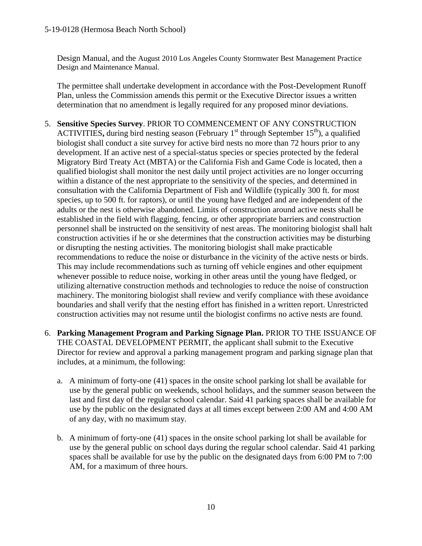Design Manual, and the August 2010 Los Angeles County Stormwater Best Management Practice Design and Maintenance Manual.

The permittee shall undertake development in accordance with the Post-Development Runoff Plan, unless the Commission amends this permit or the Executive Director issues a written determination that no amendment is legally required for any proposed minor deviations.

- 5. **Sensitive Species Survey**. PRIOR TO COMMENCEMENT OF ANY CONSTRUCTION ACTIVITIES, during bird nesting season (February  $1<sup>st</sup>$  through September  $15<sup>th</sup>$ ), a qualified biologist shall conduct a site survey for active bird nests no more than 72 hours prior to any development. If an active nest of a special-status species or species protected by the federal Migratory Bird Treaty Act (MBTA) or the California Fish and Game Code is located, then a qualified biologist shall monitor the nest daily until project activities are no longer occurring within a distance of the nest appropriate to the sensitivity of the species, and determined in consultation with the California Department of Fish and Wildlife (typically 300 ft. for most species, up to 500 ft. for raptors), or until the young have fledged and are independent of the adults or the nest is otherwise abandoned. Limits of construction around active nests shall be established in the field with flagging, fencing, or other appropriate barriers and construction personnel shall be instructed on the sensitivity of nest areas. The monitoring biologist shall halt construction activities if he or she determines that the construction activities may be disturbing or disrupting the nesting activities. The monitoring biologist shall make practicable recommendations to reduce the noise or disturbance in the vicinity of the active nests or birds. This may include recommendations such as turning off vehicle engines and other equipment whenever possible to reduce noise, working in other areas until the young have fledged, or utilizing alternative construction methods and technologies to reduce the noise of construction machinery. The monitoring biologist shall review and verify compliance with these avoidance boundaries and shall verify that the nesting effort has finished in a written report. Unrestricted construction activities may not resume until the biologist confirms no active nests are found.
- 6. **Parking Management Program and Parking Signage Plan.** PRIOR TO THE ISSUANCE OF THE COASTAL DEVELOPMENT PERMIT, the applicant shall submit to the Executive Director for review and approval a parking management program and parking signage plan that includes, at a minimum, the following:
	- a. A minimum of forty-one (41) spaces in the onsite school parking lot shall be available for use by the general public on weekends, school holidays, and the summer season between the last and first day of the regular school calendar. Said 41 parking spaces shall be available for use by the public on the designated days at all times except between 2:00 AM and 4:00 AM of any day, with no maximum stay.
	- b. A minimum of forty-one (41) spaces in the onsite school parking lot shall be available for use by the general public on school days during the regular school calendar. Said 41 parking spaces shall be available for use by the public on the designated days from 6:00 PM to 7:00 AM, for a maximum of three hours.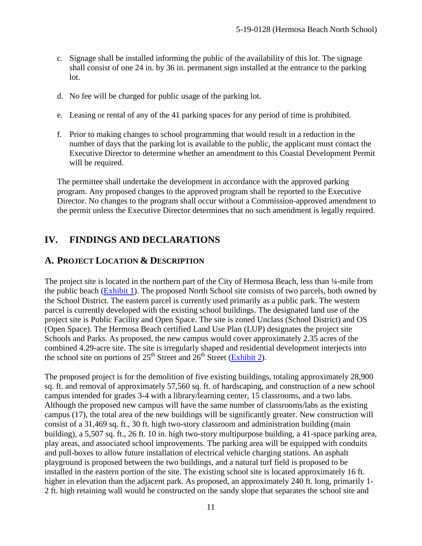- c. Signage shall be installed informing the public of the availability of this lot. The signage shall consist of one 24 in. by 36 in. permanent sign installed at the entrance to the parking lot.
- d. No fee will be charged for public usage of the parking lot.
- e. Leasing or rental of any of the 41 parking spaces for any period of time is prohibited.
- f. Prior to making changes to school programming that would result in a reduction in the number of days that the parking lot is available to the public, the applicant must contact the Executive Director to determine whether an amendment to this Coastal Development Permit will be required.

The permittee shall undertake the development in accordance with the approved parking program. Any proposed changes to the approved program shall be reported to the Executive Director. No changes to the program shall occur without a Commission-approved amendment to the permit unless the Executive Director determines that no such amendment is legally required.

# <span id="page-10-0"></span>**IV. FINDINGS AND DECLARATIONS**

### <span id="page-10-1"></span>**A. PROJECT LOCATION & DESCRIPTION**

The project site is located in the northern part of the City of Hermosa Beach, less than ¼-mile from the public beach [\(Exhibit 1\)](https://documents.coastal.ca.gov/reports/2019/7/w23b/w23b-7-2019-exhibits.pdf). The proposed North School site consists of two parcels, both owned by the School District. The eastern parcel is currently used primarily as a public park. The western parcel is currently developed with the existing school buildings. The designated land use of the project site is Public Facility and Open Space. The site is zoned Unclass (School District) and OS (Open Space). The Hermosa Beach certified Land Use Plan (LUP) designates the project site Schools and Parks. As proposed, the new campus would cover approximately 2.35 acres of the combined 4.29-acre site. The site is irregularly shaped and residential development interjects into the school site on portions of  $25<sup>th</sup>$  Street and  $26<sup>th</sup>$  Street [\(Exhibit 2\)](https://documents.coastal.ca.gov/reports/2019/7/w23b/w23b-7-2019-exhibits.pdf).

The proposed project is for the demolition of five existing buildings, totaling approximately 28,900 sq. ft. and removal of approximately 57,560 sq. ft. of hardscaping, and construction of a new school campus intended for grades 3-4 with a library/learning center, 15 classrooms, and a two labs. Although the proposed new campus will have the same number of classrooms/labs as the existing campus (17), the total area of the new buildings will be significantly greater. New construction will consist of a 31,469 sq. ft., 30 ft. high two-story classroom and administration building (main building), a 5,507 sq. ft., 26 ft. 10 in. high two-story multipurpose building, a 41-space parking area, play areas, and associated school improvements. The parking area will be equipped with conduits and pull-boxes to allow future installation of electrical vehicle charging stations. An asphalt playground is proposed between the two buildings, and a natural turf field is proposed to be installed in the eastern portion of the site. The existing school site is located approximately 16 ft. higher in elevation than the adjacent park. As proposed, an approximately 240 ft. long, primarily 1-2 ft. high retaining wall would be constructed on the sandy slope that separates the school site and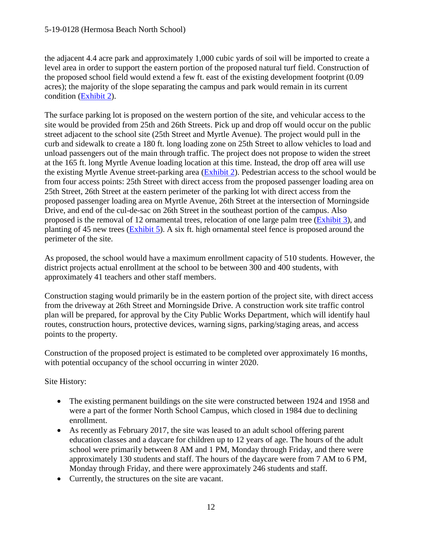the adjacent 4.4 acre park and approximately 1,000 cubic yards of soil will be imported to create a level area in order to support the eastern portion of the proposed natural turf field. Construction of the proposed school field would extend a few ft. east of the existing development footprint (0.09 acres); the majority of the slope separating the campus and park would remain in its current condition [\(Exhibit 2\)](https://documents.coastal.ca.gov/reports/2019/7/w23b/w23b-7-2019-exhibits.pdf).

The surface parking lot is proposed on the western portion of the site, and vehicular access to the site would be provided from 25th and 26th Streets. Pick up and drop off would occur on the public street adjacent to the school site (25th Street and Myrtle Avenue). The project would pull in the curb and sidewalk to create a 180 ft. long loading zone on 25th Street to allow vehicles to load and unload passengers out of the main through traffic. The project does not propose to widen the street at the 165 ft. long Myrtle Avenue loading location at this time. Instead, the drop off area will use the existing Myrtle Avenue street-parking area [\(Exhibit 2\)](https://documents.coastal.ca.gov/reports/2019/7/w23b/w23b-7-2019-exhibits.pdf). Pedestrian access to the school would be from four access points: 25th Street with direct access from the proposed passenger loading area on 25th Street, 26th Street at the eastern perimeter of the parking lot with direct access from the proposed passenger loading area on Myrtle Avenue, 26th Street at the intersection of Morningside Drive, and end of the cul-de-sac on 26th Street in the southeast portion of the campus. Also proposed is the removal of 12 ornamental trees, relocation of one large palm tree [\(Exhibit 3\)](https://documents.coastal.ca.gov/reports/2019/7/w23b/w23b-7-2019-exhibits.pdf), and planting of 45 new trees [\(Exhibit 5\)](https://documents.coastal.ca.gov/reports/2019/7/w23b/w23b-7-2019-exhibits.pdf). A six ft. high ornamental steel fence is proposed around the perimeter of the site.

As proposed, the school would have a maximum enrollment capacity of 510 students. However, the district projects actual enrollment at the school to be between 300 and 400 students, with approximately 41 teachers and other staff members.

Construction staging would primarily be in the eastern portion of the project site, with direct access from the driveway at 26th Street and Morningside Drive. A construction work site traffic control plan will be prepared, for approval by the City Public Works Department, which will identify haul routes, construction hours, protective devices, warning signs, parking/staging areas, and access points to the property.

Construction of the proposed project is estimated to be completed over approximately 16 months, with potential occupancy of the school occurring in winter 2020.

Site History:

- The existing permanent buildings on the site were constructed between 1924 and 1958 and were a part of the former North School Campus, which closed in 1984 due to declining enrollment.
- As recently as February 2017, the site was leased to an adult school offering parent education classes and a daycare for children up to 12 years of age. The hours of the adult school were primarily between 8 AM and 1 PM, Monday through Friday, and there were approximately 130 students and staff. The hours of the daycare were from 7 AM to 6 PM, Monday through Friday, and there were approximately 246 students and staff.
- Currently, the structures on the site are vacant.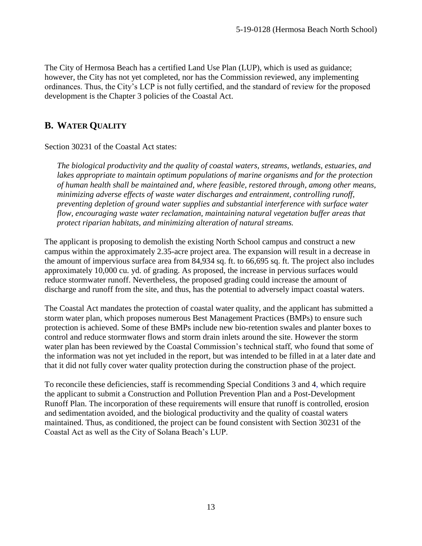The City of Hermosa Beach has a certified Land Use Plan (LUP), which is used as guidance; however, the City has not yet completed, nor has the Commission reviewed, any implementing ordinances. Thus, the City's LCP is not fully certified, and the standard of review for the proposed development is the Chapter 3 policies of the Coastal Act.

### <span id="page-12-0"></span>**B. WATER QUALITY**

Section 30231 of the Coastal Act states:

*The biological productivity and the quality of coastal waters, streams, wetlands, estuaries, and lakes appropriate to maintain optimum populations of marine organisms and for the protection of human health shall be maintained and, where feasible, restored through, among other means, minimizing adverse effects of waste water discharges and entrainment, controlling runoff, preventing depletion of ground water supplies and substantial interference with surface water flow, encouraging waste water reclamation, maintaining natural vegetation buffer areas that protect riparian habitats, and minimizing alteration of natural streams.*

The applicant is proposing to demolish the existing North School campus and construct a new campus within the approximately 2.35-acre project area. The expansion will result in a decrease in the amount of impervious surface area from 84,934 sq. ft. to 66,695 sq. ft. The project also includes approximately 10,000 cu. yd. of grading. As proposed, the increase in pervious surfaces would reduce stormwater runoff. Nevertheless, the proposed grading could increase the amount of discharge and runoff from the site, and thus, has the potential to adversely impact coastal waters.

The Coastal Act mandates the protection of coastal water quality, and the applicant has submitted a storm water plan, which proposes numerous Best Management Practices (BMPs) to ensure such protection is achieved. Some of these BMPs include new bio-retention swales and planter boxes to control and reduce stormwater flows and storm drain inlets around the site. However the storm water plan has been reviewed by the Coastal Commission's technical staff, who found that some of the information was not yet included in the report, but was intended to be filled in at a later date and that it did not fully cover water quality protection during the construction phase of the project.

<span id="page-12-1"></span>To reconcile these deficiencies, staff is recommending Special Conditions 3 and 4, which require the applicant to submit a Construction and Pollution Prevention Plan and a Post-Development Runoff Plan. The incorporation of these requirements will ensure that runoff is controlled, erosion and sedimentation avoided, and the biological productivity and the quality of coastal waters maintained. Thus, as conditioned, the project can be found consistent with Section 30231 of the Coastal Act as well as the City of Solana Beach's LUP.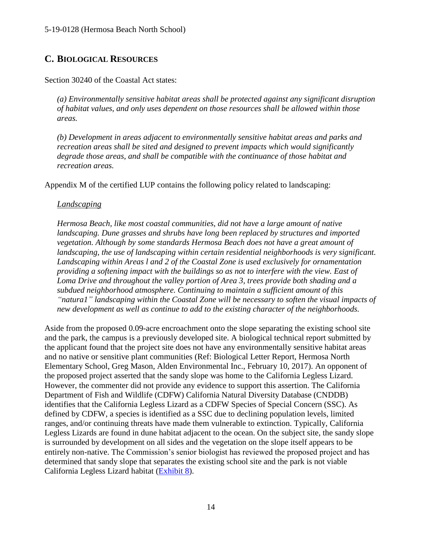### **C. BIOLOGICAL RESOURCES**

#### Section 30240 of the Coastal Act states:

*(a) Environmentally sensitive habitat areas shall be protected against any significant disruption of habitat values, and only uses dependent on those resources shall be allowed within those areas.*

*(b) Development in areas adjacent to environmentally sensitive habitat areas and parks and recreation areas shall be sited and designed to prevent impacts which would significantly degrade those areas, and shall be compatible with the continuance of those habitat and recreation areas.*

Appendix M of the certified LUP contains the following policy related to landscaping:

#### *Landscaping*

*Hermosa Beach, like most coastal communities, did not have a large amount of native landscaping. Dune grasses and shrubs have long been replaced by structures and imported vegetation. Although by some standards Hermosa Beach does not have a great amount of landscaping, the use of landscaping within certain residential neighborhoods is very significant. Landscaping within Areas l and 2 of the Coastal Zone is used exclusively for ornamentation providing a softening impact with the buildings so as not to interfere with the view. East of Loma Drive and throughout the valley portion of Area 3, trees provide both shading and a subdued neighborhood atmosphere. Continuing to maintain a sufficient amount of this "natura1" landscaping within the Coastal Zone will be necessary to soften the visual impacts of new development as well as continue to add to the existing character of the neighborhoods.*

Aside from the proposed 0.09-acre encroachment onto the slope separating the existing school site and the park, the campus is a previously developed site. A biological technical report submitted by the applicant found that the project site does not have any environmentally sensitive habitat areas and no native or sensitive plant communities (Ref: Biological Letter Report, Hermosa North Elementary School, Greg Mason, Alden Environmental Inc., February 10, 2017). An opponent of the proposed project asserted that the sandy slope was home to the California Legless Lizard. However, the commenter did not provide any evidence to support this assertion. The California Department of Fish and Wildlife (CDFW) California Natural Diversity Database (CNDDB) identifies that the California Legless Lizard as a CDFW Species of Special Concern (SSC). As defined by CDFW, a species is identified as a SSC due to declining population levels, limited ranges, and/or continuing threats have made them vulnerable to extinction. Typically, California Legless Lizards are found in dune habitat adjacent to the ocean. On the subject site, the sandy slope is surrounded by development on all sides and the vegetation on the slope itself appears to be entirely non-native. The Commission's senior biologist has reviewed the proposed project and has determined that sandy slope that separates the existing school site and the park is not viable California Legless Lizard habitat [\(Exhibit 8\)](https://documents.coastal.ca.gov/reports/2019/7/w23b/w23b-7-2019-exhibits.pdf).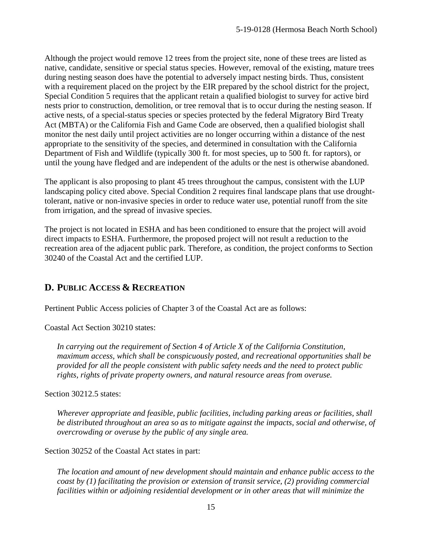Although the project would remove 12 trees from the project site, none of these trees are listed as native, candidate, sensitive or special status species. However, removal of the existing, mature trees during nesting season does have the potential to adversely impact nesting birds. Thus, consistent with a requirement placed on the project by the EIR prepared by the school district for the project, Special Condition 5 requires that the applicant retain a qualified biologist to survey for active bird nests prior to construction, demolition, or tree removal that is to occur during the nesting season. If active nests, of a special-status species or species protected by the federal Migratory Bird Treaty Act (MBTA) or the California Fish and Game Code are observed, then a qualified biologist shall monitor the nest daily until project activities are no longer occurring within a distance of the nest appropriate to the sensitivity of the species, and determined in consultation with the California Department of Fish and Wildlife (typically 300 ft. for most species, up to 500 ft. for raptors), or until the young have fledged and are independent of the adults or the nest is otherwise abandoned.

The applicant is also proposing to plant 45 trees throughout the campus, consistent with the LUP landscaping policy cited above. Special Condition 2 requires final landscape plans that use droughttolerant, native or non-invasive species in order to reduce water use, potential runoff from the site from irrigation, and the spread of invasive species.

The project is not located in ESHA and has been conditioned to ensure that the project will avoid direct impacts to ESHA. Furthermore, the proposed project will not result a reduction to the recreation area of the adjacent public park. Therefore, as condition, the project conforms to Section 30240 of the Coastal Act and the certified LUP.

### <span id="page-14-0"></span>**D. PUBLIC ACCESS & RECREATION**

Pertinent Public Access policies of Chapter 3 of the Coastal Act are as follows:

Coastal Act Section 30210 states:

*In carrying out the requirement of Section 4 of Article X of the California Constitution, maximum access, which shall be conspicuously posted, and recreational opportunities shall be provided for all the people consistent with public safety needs and the need to protect public rights, rights of private property owners, and natural resource areas from overuse.*

Section 30212.5 states:

*Wherever appropriate and feasible, public facilities, including parking areas or facilities, shall be distributed throughout an area so as to mitigate against the impacts, social and otherwise, of overcrowding or overuse by the public of any single area.*

Section 30252 of the Coastal Act states in part:

*The location and amount of new development should maintain and enhance public access to the coast by (1) facilitating the provision or extension of transit service, (2) providing commercial facilities within or adjoining residential development or in other areas that will minimize the*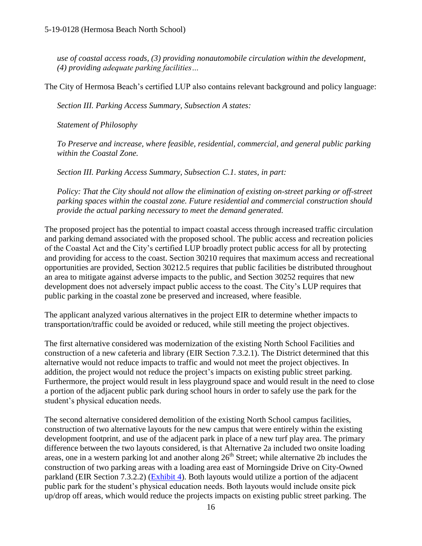*use of coastal access roads, (3) providing nonautomobile circulation within the development, (4) providing adequate parking facilities…*

The City of Hermosa Beach's certified LUP also contains relevant background and policy language:

*Section III. Parking Access Summary, Subsection A states:*

*Statement of Philosophy*

*To Preserve and increase, where feasible, residential, commercial, and general public parking within the Coastal Zone.*

*Section III. Parking Access Summary, Subsection C.1. states, in part:*

*Policy: That the City should not allow the elimination of existing on-street parking or off-street parking spaces within the coastal zone. Future residential and commercial construction should provide the actual parking necessary to meet the demand generated.*

The proposed project has the potential to impact coastal access through increased traffic circulation and parking demand associated with the proposed school. The public access and recreation policies of the Coastal Act and the City's certified LUP broadly protect public access for all by protecting and providing for access to the coast. Section 30210 requires that maximum access and recreational opportunities are provided, Section 30212.5 requires that public facilities be distributed throughout an area to mitigate against adverse impacts to the public, and Section 30252 requires that new development does not adversely impact public access to the coast. The City's LUP requires that public parking in the coastal zone be preserved and increased, where feasible.

The applicant analyzed various alternatives in the project EIR to determine whether impacts to transportation/traffic could be avoided or reduced, while still meeting the project objectives.

The first alternative considered was modernization of the existing North School Facilities and construction of a new cafeteria and library (EIR Section 7.3.2.1). The District determined that this alternative would not reduce impacts to traffic and would not meet the project objectives. In addition, the project would not reduce the project's impacts on existing public street parking. Furthermore, the project would result in less playground space and would result in the need to close a portion of the adjacent public park during school hours in order to safely use the park for the student's physical education needs.

The second alternative considered demolition of the existing North School campus facilities, construction of two alternative layouts for the new campus that were entirely within the existing development footprint, and use of the adjacent park in place of a new turf play area. The primary difference between the two layouts considered, is that Alternative 2a included two onsite loading areas, one in a western parking lot and another along  $26<sup>th</sup>$  Street; while alternative 2b includes the construction of two parking areas with a loading area east of Morningside Drive on City-Owned parkland (EIR Section 7.3.2.2) [\(Exhibit 4\)](https://documents.coastal.ca.gov/reports/2019/7/w23b/w23b-7-2019-exhibits.pdf). Both layouts would utilize a portion of the adjacent public park for the student's physical education needs. Both layouts would include onsite pick up/drop off areas, which would reduce the projects impacts on existing public street parking. The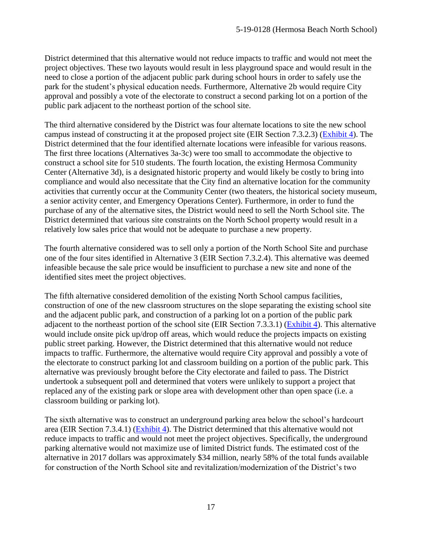District determined that this alternative would not reduce impacts to traffic and would not meet the project objectives. These two layouts would result in less playground space and would result in the need to close a portion of the adjacent public park during school hours in order to safely use the park for the student's physical education needs. Furthermore, Alternative 2b would require City approval and possibly a vote of the electorate to construct a second parking lot on a portion of the public park adjacent to the northeast portion of the school site.

The third alternative considered by the District was four alternate locations to site the new school campus instead of constructing it at the proposed project site (EIR Section 7.3.2.3) [\(Exhibit 4\)](https://documents.coastal.ca.gov/reports/2019/7/w23b/w23b-7-2019-exhibits.pdf). The District determined that the four identified alternate locations were infeasible for various reasons. The first three locations (Alternatives 3a-3c) were too small to accommodate the objective to construct a school site for 510 students. The fourth location, the existing Hermosa Community Center (Alternative 3d), is a designated historic property and would likely be costly to bring into compliance and would also necessitate that the City find an alternative location for the community activities that currently occur at the Community Center (two theaters, the historical society museum, a senior activity center, and Emergency Operations Center). Furthermore, in order to fund the purchase of any of the alternative sites, the District would need to sell the North School site. The District determined that various site constraints on the North School property would result in a relatively low sales price that would not be adequate to purchase a new property.

The fourth alternative considered was to sell only a portion of the North School Site and purchase one of the four sites identified in Alternative 3 (EIR Section 7.3.2.4). This alternative was deemed infeasible because the sale price would be insufficient to purchase a new site and none of the identified sites meet the project objectives.

The fifth alternative considered demolition of the existing North School campus facilities, construction of one of the new classroom structures on the slope separating the existing school site and the adjacent public park, and construction of a parking lot on a portion of the public park adjacent to the northeast portion of the school site (EIR Section 7.3.3.1) [\(Exhibit 4\)](https://documents.coastal.ca.gov/reports/2019/7/w23b/w23b-7-2019-exhibits.pdf). This alternative would include onsite pick up/drop off areas, which would reduce the projects impacts on existing public street parking. However, the District determined that this alternative would not reduce impacts to traffic. Furthermore, the alternative would require City approval and possibly a vote of the electorate to construct parking lot and classroom building on a portion of the public park. This alternative was previously brought before the City electorate and failed to pass. The District undertook a subsequent poll and determined that voters were unlikely to support a project that replaced any of the existing park or slope area with development other than open space (i.e. a classroom building or parking lot).

The sixth alternative was to construct an underground parking area below the school's hardcourt area (EIR Section 7.3.4.1) [\(Exhibit 4\)](https://documents.coastal.ca.gov/reports/2019/7/w23b/w23b-7-2019-exhibits.pdf). The District determined that this alternative would not reduce impacts to traffic and would not meet the project objectives. Specifically, the underground parking alternative would not maximize use of limited District funds. The estimated cost of the alternative in 2017 dollars was approximately \$34 million, nearly 58% of the total funds available for construction of the North School site and revitalization/modernization of the District's two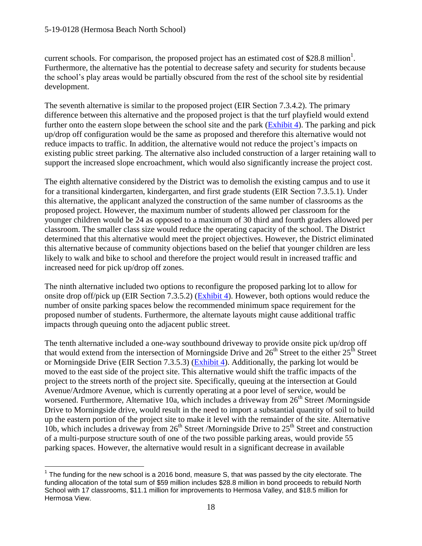#### 5-19-0128 (Hermosa Beach North School)

 $\overline{a}$ 

current schools. For comparison, the proposed project has an estimated cost of \$28.8 million<sup>1</sup>. Furthermore, the alternative has the potential to decrease safety and security for students because the school's play areas would be partially obscured from the rest of the school site by residential development.

The seventh alternative is similar to the proposed project (EIR Section 7.3.4.2). The primary difference between this alternative and the proposed project is that the turf playfield would extend further onto the eastern slope between the school site and the park [\(Exhibit 4\)](https://documents.coastal.ca.gov/reports/2019/7/w23b/w23b-7-2019-exhibits.pdf). The parking and pick up/drop off configuration would be the same as proposed and therefore this alternative would not reduce impacts to traffic. In addition, the alternative would not reduce the project's impacts on existing public street parking. The alternative also included construction of a larger retaining wall to support the increased slope encroachment, which would also significantly increase the project cost.

The eighth alternative considered by the District was to demolish the existing campus and to use it for a transitional kindergarten, kindergarten, and first grade students (EIR Section 7.3.5.1). Under this alternative, the applicant analyzed the construction of the same number of classrooms as the proposed project. However, the maximum number of students allowed per classroom for the younger children would be 24 as opposed to a maximum of 30 third and fourth graders allowed per classroom. The smaller class size would reduce the operating capacity of the school. The District determined that this alternative would meet the project objectives. However, the District eliminated this alternative because of community objections based on the belief that younger children are less likely to walk and bike to school and therefore the project would result in increased traffic and increased need for pick up/drop off zones.

The ninth alternative included two options to reconfigure the proposed parking lot to allow for onsite drop off/pick up (EIR Section 7.3.5.2) [\(Exhibit 4\)](https://documents.coastal.ca.gov/reports/2019/7/w23b/w23b-7-2019-exhibits.pdf). However, both options would reduce the number of onsite parking spaces below the recommended minimum space requirement for the proposed number of students. Furthermore, the alternate layouts might cause additional traffic impacts through queuing onto the adjacent public street.

The tenth alternative included a one-way southbound driveway to provide onsite pick up/drop off that would extend from the intersection of Morningside Drive and  $26<sup>th</sup>$  Street to the either  $25<sup>th</sup>$  Street or Morningside Drive (EIR Section 7.3.5.3) [\(Exhibit 4\)](https://documents.coastal.ca.gov/reports/2019/7/w23b/w23b-7-2019-exhibits.pdf). Additionally, the parking lot would be moved to the east side of the project site. This alternative would shift the traffic impacts of the project to the streets north of the project site. Specifically, queuing at the intersection at Gould Avenue/Ardmore Avenue, which is currently operating at a poor level of service, would be worsened. Furthermore, Alternative 10a, which includes a driveway from  $26<sup>th</sup>$  Street /Morningside Drive to Morningside drive, would result in the need to import a substantial quantity of soil to build up the eastern portion of the project site to make it level with the remainder of the site. Alternative 10b, which includes a driveway from  $26<sup>th</sup>$  Street /Morningside Drive to  $25<sup>th</sup>$  Street and construction of a multi-purpose structure south of one of the two possible parking areas, would provide 55 parking spaces. However, the alternative would result in a significant decrease in available

 $1$  The funding for the new school is a 2016 bond, measure S, that was passed by the city electorate. The funding allocation of the total sum of \$59 million includes \$28.8 million in bond proceeds to rebuild North School with 17 classrooms, \$11.1 million for improvements to Hermosa Valley, and \$18.5 million for Hermosa View.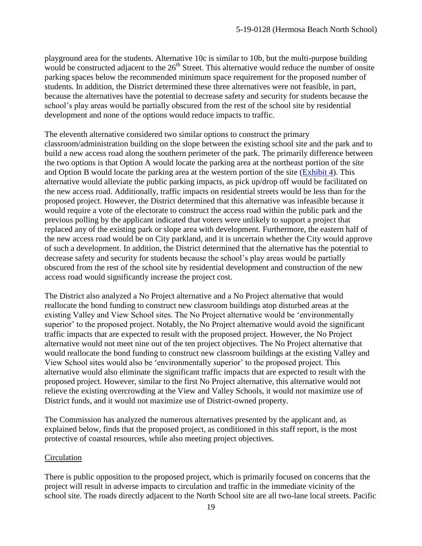playground area for the students. Alternative 10c is similar to 10b, but the multi-purpose building would be constructed adjacent to the  $26<sup>th</sup>$  Street. This alternative would reduce the number of onsite parking spaces below the recommended minimum space requirement for the proposed number of students. In addition, the District determined these three alternatives were not feasible, in part, because the alternatives have the potential to decrease safety and security for students because the school's play areas would be partially obscured from the rest of the school site by residential development and none of the options would reduce impacts to traffic.

The eleventh alternative considered two similar options to construct the primary classroom/administration building on the slope between the existing school site and the park and to build a new access road along the southern perimeter of the park. The primarily difference between the two options is that Option A would locate the parking area at the northeast portion of the site and Option B would locate the parking area at the western portion of the site [\(Exhibit 4\)](https://documents.coastal.ca.gov/reports/2019/7/w23b/w23b-7-2019-exhibits.pdf). This alternative would alleviate the public parking impacts, as pick up/drop off would be facilitated on the new access road. Additionally, traffic impacts on residential streets would be less than for the proposed project. However, the District determined that this alternative was infeasible because it would require a vote of the electorate to construct the access road within the public park and the previous polling by the applicant indicated that voters were unlikely to support a project that replaced any of the existing park or slope area with development. Furthermore, the eastern half of the new access road would be on City parkland, and it is uncertain whether the City would approve of such a development. In addition, the District determined that the alternative has the potential to decrease safety and security for students because the school's play areas would be partially obscured from the rest of the school site by residential development and construction of the new access road would significantly increase the project cost.

The District also analyzed a No Project alternative and a No Project alternative that would reallocate the bond funding to construct new classroom buildings atop disturbed areas at the existing Valley and View School sites. The No Project alternative would be 'environmentally superior' to the proposed project. Notably, the No Project alternative would avoid the significant traffic impacts that are expected to result with the proposed project. However, the No Project alternative would not meet nine out of the ten project objectives. The No Project alternative that would reallocate the bond funding to construct new classroom buildings at the existing Valley and View School sites would also be 'environmentally superior' to the proposed project. This alternative would also eliminate the significant traffic impacts that are expected to result with the proposed project. However, similar to the first No Project alternative, this alternative would not relieve the existing overcrowding at the View and Valley Schools, it would not maximize use of District funds, and it would not maximize use of District-owned property.

The Commission has analyzed the numerous alternatives presented by the applicant and, as explained below, finds that the proposed project, as conditioned in this staff report, is the most protective of coastal resources, while also meeting project objectives.

#### Circulation

There is public opposition to the proposed project, which is primarily focused on concerns that the project will result in adverse impacts to circulation and traffic in the immediate vicinity of the school site. The roads directly adjacent to the North School site are all two-lane local streets. Pacific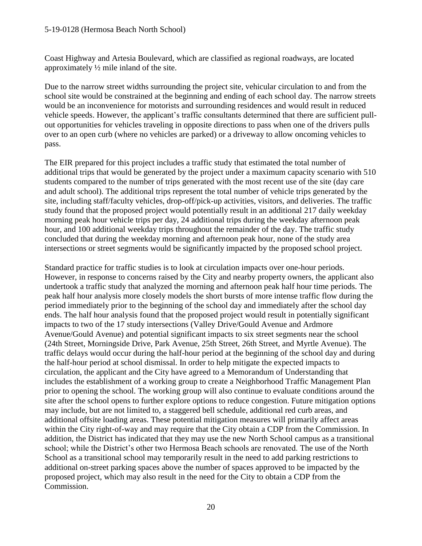#### 5-19-0128 (Hermosa Beach North School)

Coast Highway and Artesia Boulevard, which are classified as regional roadways, are located approximately ½ mile inland of the site.

Due to the narrow street widths surrounding the project site, vehicular circulation to and from the school site would be constrained at the beginning and ending of each school day. The narrow streets would be an inconvenience for motorists and surrounding residences and would result in reduced vehicle speeds. However, the applicant's traffic consultants determined that there are sufficient pullout opportunities for vehicles traveling in opposite directions to pass when one of the drivers pulls over to an open curb (where no vehicles are parked) or a driveway to allow oncoming vehicles to pass.

The EIR prepared for this project includes a traffic study that estimated the total number of additional trips that would be generated by the project under a maximum capacity scenario with 510 students compared to the number of trips generated with the most recent use of the site (day care and adult school). The additional trips represent the total number of vehicle trips generated by the site, including staff/faculty vehicles, drop-off/pick-up activities, visitors, and deliveries. The traffic study found that the proposed project would potentially result in an additional 217 daily weekday morning peak hour vehicle trips per day, 24 additional trips during the weekday afternoon peak hour, and 100 additional weekday trips throughout the remainder of the day. The traffic study concluded that during the weekday morning and afternoon peak hour, none of the study area intersections or street segments would be significantly impacted by the proposed school project.

Standard practice for traffic studies is to look at circulation impacts over one-hour periods. However, in response to concerns raised by the City and nearby property owners, the applicant also undertook a traffic study that analyzed the morning and afternoon peak half hour time periods. The peak half hour analysis more closely models the short bursts of more intense traffic flow during the period immediately prior to the beginning of the school day and immediately after the school day ends. The half hour analysis found that the proposed project would result in potentially significant impacts to two of the 17 study intersections (Valley Drive/Gould Avenue and Ardmore Avenue/Gould Avenue) and potential significant impacts to six street segments near the school (24th Street, Morningside Drive, Park Avenue, 25th Street, 26th Street, and Myrtle Avenue). The traffic delays would occur during the half-hour period at the beginning of the school day and during the half-hour period at school dismissal. In order to help mitigate the expected impacts to circulation, the applicant and the City have agreed to a Memorandum of Understanding that includes the establishment of a working group to create a Neighborhood Traffic Management Plan prior to opening the school. The working group will also continue to evaluate conditions around the site after the school opens to further explore options to reduce congestion. Future mitigation options may include, but are not limited to, a staggered bell schedule, additional red curb areas, and additional offsite loading areas. These potential mitigation measures will primarily affect areas within the City right-of-way and may require that the City obtain a CDP from the Commission. In addition, the District has indicated that they may use the new North School campus as a transitional school; while the District's other two Hermosa Beach schools are renovated. The use of the North School as a transitional school may temporarily result in the need to add parking restrictions to additional on-street parking spaces above the number of spaces approved to be impacted by the proposed project, which may also result in the need for the City to obtain a CDP from the Commission.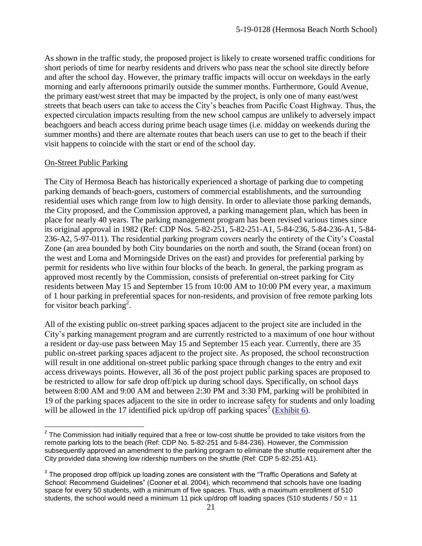As shown in the traffic study, the proposed project is likely to create worsened traffic conditions for short periods of time for nearby residents and drivers who pass near the school site directly before and after the school day. However, the primary traffic impacts will occur on weekdays in the early morning and early afternoons primarily outside the summer months. Furthermore, Gould Avenue, the primary east/west street that may be impacted by the project, is only one of many east/west streets that beach users can take to access the City's beaches from Pacific Coast Highway. Thus, the expected circulation impacts resulting from the new school campus are unlikely to adversely impact beachgoers and beach access during prime beach usage times (i.e. midday on weekends during the summer months) and there are alternate routes that beach users can use to get to the beach if their visit happens to coincide with the start or end of the school day.

#### On-Street Public Parking

 $\overline{a}$ 

The City of Hermosa Beach has historically experienced a shortage of parking due to competing parking demands of beach-goers, customers of commercial establishments, and the surrounding residential uses which range from low to high density. In order to alleviate those parking demands, the City proposed, and the Commission approved, a parking management plan, which has been in place for nearly 40 years. The parking management program has been revised various times since its original approval in 1982 (Ref: CDP Nos. 5-82-251, 5-82-251-A1, 5-84-236, 5-84-236-A1, 5-84- 236-A2, 5-97-011). The residential parking program covers nearly the entirety of the City's Coastal Zone (an area bounded by both City boundaries on the north and south, the Strand (ocean front) on the west and Loma and Morningside Drives on the east) and provides for preferential parking by permit for residents who live within four blocks of the beach. In general, the parking program as approved most recently by the Commission, consists of preferential on-street parking for City residents between May 15 and September 15 from 10:00 AM to 10:00 PM every year, a maximum of 1 hour parking in preferential spaces for non-residents, and provision of free remote parking lots for visitor beach parking<sup>2</sup>.

All of the existing public on-street parking spaces adjacent to the project site are included in the City's parking management program and are currently restricted to a maximum of one hour without a resident or day-use pass between May 15 and September 15 each year. Currently, there are 35 public on-street parking spaces adjacent to the project site. As proposed, the school reconstruction will result in one additional on-street public parking space through changes to the entry and exit access driveways points. However, all 36 of the post project public parking spaces are proposed to be restricted to allow for safe drop off/pick up during school days. Specifically, on school days between 8:00 AM and 9:00 AM and between 2:30 PM and 3:30 PM, parking will be prohibited in 19 of the parking spaces adjacent to the site in order to increase safety for students and only loading will be allowed in the 17 identified pick up/drop off parking spaces<sup>3</sup> [\(Exhibit 6\)](https://documents.coastal.ca.gov/reports/2019/7/w23b/w23b-7-2019-exhibits.pdf).

 $2$  The Commission had initially required that a free or low-cost shuttle be provided to take visitors from the remote parking lots to the beach (Ref: CDP No. 5-82-251 and 5-84-236). However, the Commission subsequently approved an amendment to the parking program to eliminate the shuttle requirement after the City provided data showing low ridership numbers on the shuttle (Ref: CDP 5-82-251-A1).

 $3$  The proposed drop off/pick up loading zones are consistent with the "Traffic Operations and Safety at School: Recommend Guidelines" (Cooner et al. 2004), which recommend that schools have one loading space for every 50 students, with a minimum of five spaces. Thus, with a maximum enrollment of 510 students, the school would need a minimum 11 pick up/drop off loading spaces (510 students  $/50 = 11$ )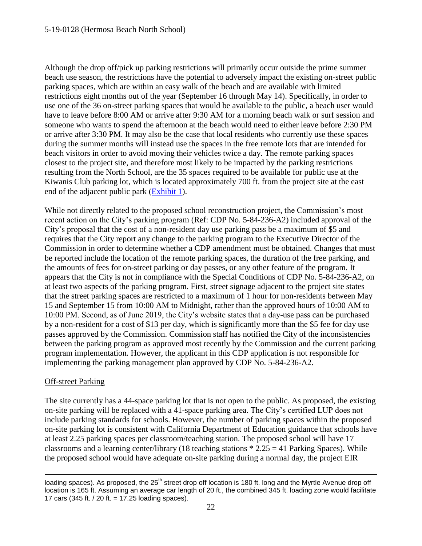Although the drop off/pick up parking restrictions will primarily occur outside the prime summer beach use season, the restrictions have the potential to adversely impact the existing on-street public parking spaces, which are within an easy walk of the beach and are available with limited restrictions eight months out of the year (September 16 through May 14). Specifically, in order to use one of the 36 on-street parking spaces that would be available to the public, a beach user would have to leave before 8:00 AM or arrive after 9:30 AM for a morning beach walk or surf session and someone who wants to spend the afternoon at the beach would need to either leave before 2:30 PM or arrive after 3:30 PM. It may also be the case that local residents who currently use these spaces during the summer months will instead use the spaces in the free remote lots that are intended for beach visitors in order to avoid moving their vehicles twice a day. The remote parking spaces closest to the project site, and therefore most likely to be impacted by the parking restrictions resulting from the North School, are the 35 spaces required to be available for public use at the Kiwanis Club parking lot, which is located approximately 700 ft. from the project site at the east end of the adjacent public park [\(Exhibit 1\)](https://documents.coastal.ca.gov/reports/2019/7/w23b/w23b-7-2019-exhibits.pdf).

While not directly related to the proposed school reconstruction project, the Commission's most recent action on the City's parking program (Ref: CDP No. 5-84-236-A2) included approval of the City's proposal that the cost of a non-resident day use parking pass be a maximum of \$5 and requires that the City report any change to the parking program to the Executive Director of the Commission in order to determine whether a CDP amendment must be obtained. Changes that must be reported include the location of the remote parking spaces, the duration of the free parking, and the amounts of fees for on-street parking or day passes, or any other feature of the program. It appears that the City is not in compliance with the Special Conditions of CDP No. 5-84-236-A2, on at least two aspects of the parking program. First, street signage adjacent to the project site states that the street parking spaces are restricted to a maximum of 1 hour for non-residents between May 15 and September 15 from 10:00 AM to Midnight, rather than the approved hours of 10:00 AM to 10:00 PM. Second, as of June 2019, the City's website states that a day-use pass can be purchased by a non-resident for a cost of \$13 per day, which is significantly more than the \$5 fee for day use passes approved by the Commission. Commission staff has notified the City of the inconsistencies between the parking program as approved most recently by the Commission and the current parking program implementation. However, the applicant in this CDP application is not responsible for implementing the parking management plan approved by CDP No. 5-84-236-A2.

#### Off-street Parking

The site currently has a 44-space parking lot that is not open to the public. As proposed, the existing on-site parking will be replaced with a 41-space parking area. The City's certified LUP does not include parking standards for schools. However, the number of parking spaces within the proposed on-site parking lot is consistent with California Department of Education guidance that schools have at least 2.25 parking spaces per classroom/teaching station. The proposed school will have 17 classrooms and a learning center/library (18 teaching stations  $* 2.25 = 41$  Parking Spaces). While the proposed school would have adequate on-site parking during a normal day, the project EIR

<sup>&</sup>lt;u>.</u> loading spaces). As proposed, the 25<sup>th</sup> street drop off location is 180 ft. long and the Myrtle Avenue drop off location is 165 ft. Assuming an average car length of 20 ft., the combined 345 ft. loading zone would facilitate 17 cars (345 ft. / 20 ft. = 17.25 loading spaces).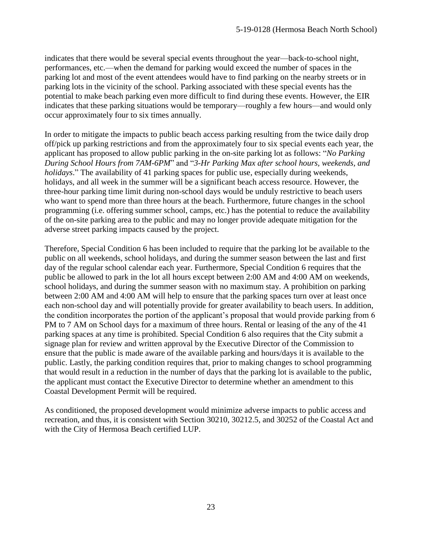indicates that there would be several special events throughout the year—back-to-school night, performances, etc.—when the demand for parking would exceed the number of spaces in the parking lot and most of the event attendees would have to find parking on the nearby streets or in parking lots in the vicinity of the school. Parking associated with these special events has the potential to make beach parking even more difficult to find during these events. However, the EIR indicates that these parking situations would be temporary—roughly a few hours—and would only occur approximately four to six times annually.

In order to mitigate the impacts to public beach access parking resulting from the twice daily drop off/pick up parking restrictions and from the approximately four to six special events each year, the applicant has proposed to allow public parking in the on-site parking lot as follows: "*No Parking During School Hours from 7AM-6PM*" and "*3-Hr Parking Max after school hours, weekends, and holidays.*" The availability of 41 parking spaces for public use, especially during weekends, holidays, and all week in the summer will be a significant beach access resource. However, the three-hour parking time limit during non-school days would be unduly restrictive to beach users who want to spend more than three hours at the beach. Furthermore, future changes in the school programming (i.e. offering summer school, camps, etc.) has the potential to reduce the availability of the on-site parking area to the public and may no longer provide adequate mitigation for the adverse street parking impacts caused by the project.

Therefore, Special Condition 6 has been included to require that the parking lot be available to the public on all weekends, school holidays, and during the summer season between the last and first day of the regular school calendar each year. Furthermore, Special Condition 6 requires that the public be allowed to park in the lot all hours except between 2:00 AM and 4:00 AM on weekends, school holidays, and during the summer season with no maximum stay. A prohibition on parking between 2:00 AM and 4:00 AM will help to ensure that the parking spaces turn over at least once each non-school day and will potentially provide for greater availability to beach users. In addition, the condition incorporates the portion of the applicant's proposal that would provide parking from 6 PM to 7 AM on School days for a maximum of three hours. Rental or leasing of the any of the 41 parking spaces at any time is prohibited. Special Condition 6 also requires that the City submit a signage plan for review and written approval by the Executive Director of the Commission to ensure that the public is made aware of the available parking and hours/days it is available to the public. Lastly, the parking condition requires that, prior to making changes to school programming that would result in a reduction in the number of days that the parking lot is available to the public, the applicant must contact the Executive Director to determine whether an amendment to this Coastal Development Permit will be required.

As conditioned, the proposed development would minimize adverse impacts to public access and recreation, and thus, it is consistent with Section 30210, 30212.5, and 30252 of the Coastal Act and with the City of Hermosa Beach certified LUP.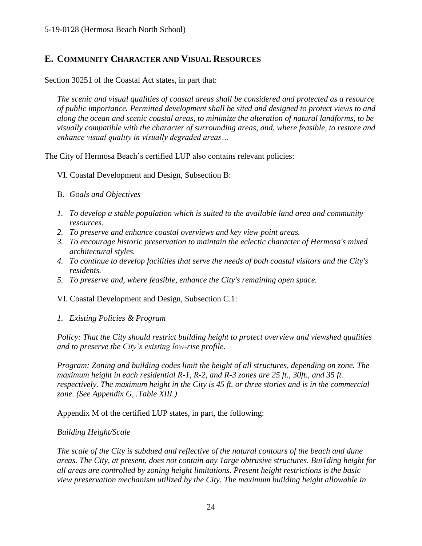# <span id="page-23-0"></span>**E. COMMUNITY CHARACTER AND VISUAL RESOURCES**

Section 30251 of the Coastal Act states, in part that:

*The scenic and visual qualities of coastal areas shall be considered and protected as a resource of public importance. Permitted development shall be sited and designed to protect views to and along the ocean and scenic coastal areas, to minimize the alteration of natural landforms, to be visually compatible with the character of surrounding areas, and, where feasible, to restore and enhance visual quality in visually degraded areas…*

The City of Hermosa Beach's certified LUP also contains relevant policies:

- VI. Coastal Development and Design, Subsection B:
- B. *Goals and Objectives*
- *1. To develop a stable population which is suited to the available land area and community resources.*
- *2. To preserve and enhance coastal overviews and key view point areas.*
- *3. To encourage historic preservation to maintain the eclectic character of Hermosa's mixed architectural styles.*
- *4. To continue to develop facilities that serve the needs of both coastal visitors and the City's residents.*
- *5. To preserve and, where feasible, enhance the City's remaining open space.*

VI. Coastal Development and Design, Subsection C.1:

*1. Existing Policies & Program*

*Policy: That the City should restrict building height to protect overview and viewshed qualities and to preserve the City's existing low-rise profile.*

*Program: Zoning and building codes limit the height of all structures, depending on zone. The maximum height in each residential R-1, R-2, and R-3 zones are 25 ft., 30ft., and 35 ft. respectively. The maximum height in the City is 45 ft. or three stories and is in the commercial zone. (See Appendix G, .Table XIII.)*

Appendix M of the certified LUP states, in part, the following:

#### *Building Height/Scale*

*The scale of the City is subdued and reflective of the natural contours of the beach and dune areas. The City, at present, does not contain any 1arge obtrusive structures. Bui1ding height for all areas are controlled by zoning height limitations. Present height restrictions is the basic view preservation mechanism utilized by the City. The maximum building height allowable in*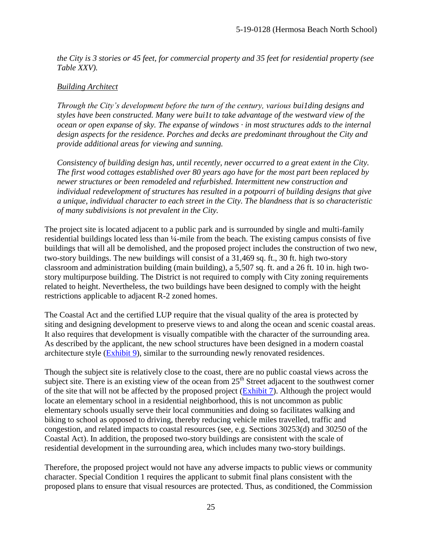*the City is 3 stories or 45 feet, for commercial property and 35 feet for residential property (see Table XXV).*

#### *Building Architect*

*Through the City's development before the turn of the century, various bui1ding designs and styles have been constructed. Many were bui1t to take advantage of the westward view of the ocean or open expanse of sky. The expanse of windows · in most structures adds to the internal design aspects for the residence. Porches and decks are predominant throughout the City and provide additional areas for viewing and sunning.*

*Consistency of building design has, until recently, never occurred to a great extent in the City. The first wood cottages established over 80 years ago have for the most part been replaced by newer structures or been remodeled and refurbished. Intermittent new construction and individual redevelopment of structures has resulted in a potpourri of building designs that give a unique, individual character to each street in the City. The blandness that is so characteristic of many subdivisions is not prevalent in the City.*

The project site is located adjacent to a public park and is surrounded by single and multi-family residential buildings located less than ¼-mile from the beach. The existing campus consists of five buildings that will all be demolished, and the proposed project includes the construction of two new, two-story buildings. The new buildings will consist of a 31,469 sq. ft., 30 ft. high two-story classroom and administration building (main building), a 5,507 sq. ft. and a 26 ft. 10 in. high twostory multipurpose building. The District is not required to comply with City zoning requirements related to height. Nevertheless, the two buildings have been designed to comply with the height restrictions applicable to adjacent R-2 zoned homes.

The Coastal Act and the certified LUP require that the visual quality of the area is protected by siting and designing development to preserve views to and along the ocean and scenic coastal areas. It also requires that development is visually compatible with the character of the surrounding area. As described by the applicant, the new school structures have been designed in a modern coastal architecture style [\(Exhibit 9\)](https://documents.coastal.ca.gov/reports/2019/7/w23b/w23b-7-2019-exhibits.pdf), similar to the surrounding newly renovated residences.

Though the subject site is relatively close to the coast, there are no public coastal views across the subject site. There is an existing view of the ocean from  $25<sup>th</sup>$  Street adjacent to the southwest corner of the site that will not be affected by the proposed project [\(Exhibit 7\)](https://documents.coastal.ca.gov/reports/2019/7/w23b/w23b-7-2019-exhibits.pdf). Although the project would locate an elementary school in a residential neighborhood, this is not uncommon as public elementary schools usually serve their local communities and doing so facilitates walking and biking to school as opposed to driving, thereby reducing vehicle miles travelled, traffic and congestion, and related impacts to coastal resources (see, e.g. Sections 30253(d) and 30250 of the Coastal Act). In addition, the proposed two-story buildings are consistent with the scale of residential development in the surrounding area, which includes many two-story buildings.

Therefore, the proposed project would not have any adverse impacts to public views or community character. Special Condition 1 requires the applicant to submit final plans consistent with the proposed plans to ensure that visual resources are protected. Thus, as conditioned, the Commission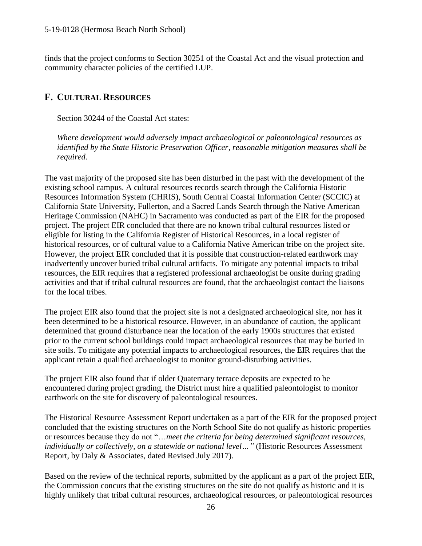finds that the project conforms to Section 30251 of the Coastal Act and the visual protection and community character policies of the certified LUP.

# <span id="page-25-0"></span>**F. CULTURAL RESOURCES**

Section 30244 of the Coastal Act states:

*Where development would adversely impact archaeological or paleontological resources as identified by the State Historic Preservation Officer, reasonable mitigation measures shall be required.*

The vast majority of the proposed site has been disturbed in the past with the development of the existing school campus. A cultural resources records search through the California Historic Resources Information System (CHRIS), South Central Coastal Information Center (SCCIC) at California State University, Fullerton, and a Sacred Lands Search through the Native American Heritage Commission (NAHC) in Sacramento was conducted as part of the EIR for the proposed project. The project EIR concluded that there are no known tribal cultural resources listed or eligible for listing in the California Register of Historical Resources, in a local register of historical resources, or of cultural value to a California Native American tribe on the project site. However, the project EIR concluded that it is possible that construction-related earthwork may inadvertently uncover buried tribal cultural artifacts. To mitigate any potential impacts to tribal resources, the EIR requires that a registered professional archaeologist be onsite during grading activities and that if tribal cultural resources are found, that the archaeologist contact the liaisons for the local tribes.

The project EIR also found that the project site is not a designated archaeological site, nor has it been determined to be a historical resource. However, in an abundance of caution, the applicant determined that ground disturbance near the location of the early 1900s structures that existed prior to the current school buildings could impact archaeological resources that may be buried in site soils. To mitigate any potential impacts to archaeological resources, the EIR requires that the applicant retain a qualified archaeologist to monitor ground-disturbing activities.

The project EIR also found that if older Quaternary terrace deposits are expected to be encountered during project grading, the District must hire a qualified paleontologist to monitor earthwork on the site for discovery of paleontological resources.

The Historical Resource Assessment Report undertaken as a part of the EIR for the proposed project concluded that the existing structures on the North School Site do not qualify as historic properties or resources because they do not "…*meet the criteria for being determined significant resources, individually or collectively, on a statewide or national level…"* (Historic Resources Assessment Report, by Daly & Associates, dated Revised July 2017).

Based on the review of the technical reports, submitted by the applicant as a part of the project EIR, the Commission concurs that the existing structures on the site do not qualify as historic and it is highly unlikely that tribal cultural resources, archaeological resources, or paleontological resources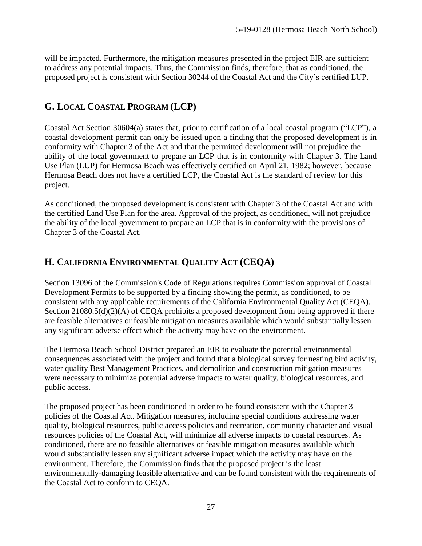will be impacted. Furthermore, the mitigation measures presented in the project EIR are sufficient to address any potential impacts. Thus, the Commission finds, therefore, that as conditioned, the proposed project is consistent with Section 30244 of the Coastal Act and the City's certified LUP.

# <span id="page-26-0"></span>**G. LOCAL COASTAL PROGRAM (LCP)**

Coastal Act Section 30604(a) states that, prior to certification of a local coastal program ("LCP"), a coastal development permit can only be issued upon a finding that the proposed development is in conformity with Chapter 3 of the Act and that the permitted development will not prejudice the ability of the local government to prepare an LCP that is in conformity with Chapter 3. The Land Use Plan (LUP) for Hermosa Beach was effectively certified on April 21, 1982; however, because Hermosa Beach does not have a certified LCP, the Coastal Act is the standard of review for this project.

As conditioned, the proposed development is consistent with Chapter 3 of the Coastal Act and with the certified Land Use Plan for the area. Approval of the project, as conditioned, will not prejudice the ability of the local government to prepare an LCP that is in conformity with the provisions of Chapter 3 of the Coastal Act.

# <span id="page-26-1"></span>**H. CALIFORNIA ENVIRONMENTAL QUALITY ACT (CEQA)**

Section 13096 of the Commission's Code of Regulations requires Commission approval of Coastal Development Permits to be supported by a finding showing the permit, as conditioned, to be consistent with any applicable requirements of the California Environmental Quality Act (CEQA). Section 21080.5(d)(2)(A) of CEOA prohibits a proposed development from being approved if there are feasible alternatives or feasible mitigation measures available which would substantially lessen any significant adverse effect which the activity may have on the environment.

The Hermosa Beach School District prepared an EIR to evaluate the potential environmental consequences associated with the project and found that a biological survey for nesting bird activity, water quality Best Management Practices, and demolition and construction mitigation measures were necessary to minimize potential adverse impacts to water quality, biological resources, and public access.

<span id="page-26-2"></span>The proposed project has been conditioned in order to be found consistent with the Chapter 3 policies of the Coastal Act. Mitigation measures, including special conditions addressing water quality, biological resources, public access policies and recreation, community character and visual resources policies of the Coastal Act, will minimize all adverse impacts to coastal resources. As conditioned, there are no feasible alternatives or feasible mitigation measures available which would substantially lessen any significant adverse impact which the activity may have on the environment. Therefore, the Commission finds that the proposed project is the least environmentally-damaging feasible alternative and can be found consistent with the requirements of the Coastal Act to conform to CEQA.